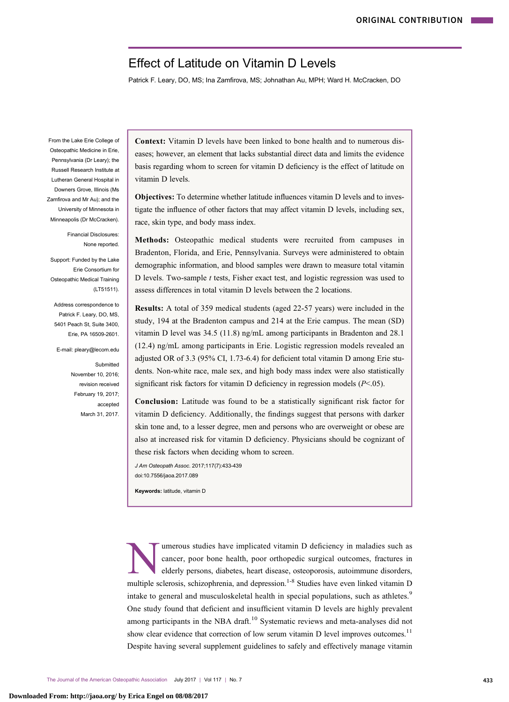# Effect of Latitude on Vitamin D Levels

Patrick F. Leary, DO, MS; Ina Zamfirova, MS; Johnathan Au, MPH; Ward H. McCracken, DO

From the Lake Erie College of Osteopathic Medicine in Erie, Pennsylvania (Dr Leary); the Russell Research Institute at Lutheran General Hospital in Downers Grove, Illinois (Ms Zamfirova and Mr Au); and the University of Minnesota in Minneapolis (Dr McCracken).

> Financial Disclosures: None reported.

Support: Funded by the Lake Erie Consortium for Osteopathic Medical Training (LT51511).

Address correspondence to Patrick F. Leary, DO, MS, 5401 Peach St, Suite 3400, Erie, PA 16509-2601.

E-mail: pleary@lecom.edu

**Submitted** November 10, 2016; revision received February 19, 2017; accepted March 31, 2017.

Context: Vitamin D levels have been linked to bone health and to numerous diseases; however, an element that lacks substantial direct data and limits the evidence basis regarding whom to screen for vitamin D deficiency is the effect of latitude on vitamin D levels.

Objectives: To determine whether latitude influences vitamin D levels and to investigate the influence of other factors that may affect vitamin D levels, including sex, race, skin type, and body mass index.

Methods: Osteopathic medical students were recruited from campuses in Bradenton, Florida, and Erie, Pennsylvania. Surveys were administered to obtain demographic information, and blood samples were drawn to measure total vitamin D levels. Two-sample  $t$  tests, Fisher exact test, and logistic regression was used to assess differences in total vitamin D levels between the 2 locations.

Results: A total of 359 medical students (aged 22-57 years) were included in the study, 194 at the Bradenton campus and 214 at the Erie campus. The mean (SD) vitamin D level was 34.5 (11.8) ng/mL among participants in Bradenton and 28.1 (12.4) ng/mL among participants in Erie. Logistic regression models revealed an adjusted OR of 3.3 (95% CI, 1.73-6.4) for deficient total vitamin D among Erie students. Non-white race, male sex, and high body mass index were also statistically significant risk factors for vitamin D deficiency in regression models  $(P<.05)$ .

Conclusion: Latitude was found to be a statistically significant risk factor for vitamin D deficiency. Additionally, the findings suggest that persons with darker skin tone and, to a lesser degree, men and persons who are overweight or obese are also at increased risk for vitamin D deficiency. Physicians should be cognizant of these risk factors when deciding whom to screen.

J Am Osteopath Assoc. 2017;117(7):433-439 doi:10.7556/jaoa.2017.089

Keywords: latitude, vitamin D

umerous studies have implicated vitamin D deficiency in maladies such as cancer, poor bone health, poor orthopedic surgical outcomes, fractures in elderly persons, diabetes, heart disease, osteoporosis, autoimmune disorders, multiple sclerosis, schizophrenia, and depression.<sup>1-8</sup> Studies have even linked vitamin D intake to general and musculoskeletal health in special populations, such as athletes.<sup>[9](#page-6-0)</sup> One study found that deficient and insufficient vitamin D levels are highly prevalent among participants in the NBA draft.<sup>[10](#page-6-0)</sup> Systematic reviews and meta-analyses did not show clear evidence that correction of low serum vitamin D level improves outcomes.<sup>[11](#page-6-0)</sup> Despite having several supplement guidelines to safely and effectively manage vitamin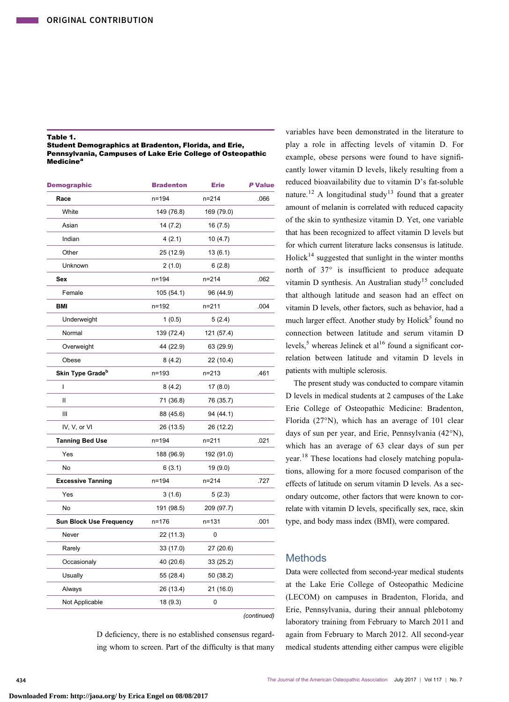## <span id="page-1-0"></span>Table 1.

| Student Demographics at Bradenton, Florida, and Erie,      |
|------------------------------------------------------------|
| Pennsylvania. Campuses of Lake Erie College of Osteopathic |
| Medicine <sup>a</sup>                                      |

| <b>Demographic</b>             | <b>Bradenton</b> | <b>Erie</b> | P Value     |
|--------------------------------|------------------|-------------|-------------|
| Race                           | $n = 194$        | $n = 214$   | .066        |
| White                          | 149 (76.8)       | 169 (79.0)  |             |
| Asian                          | 14(7.2)          | 16 (7.5)    |             |
| Indian                         | 4(2.1)           | 10(4.7)     |             |
| Other                          | 25 (12.9)        | 13 (6.1)    |             |
| Unknown                        | 2(1.0)           | 6(2.8)      |             |
| Sex                            | $n = 194$        | $n = 214$   | .062        |
| Female                         | 105 (54.1)       | 96 (44.9)   |             |
| BMI                            | n=192            | $n = 211$   | .004        |
| Underweight                    | 1(0.5)           | 5(2.4)      |             |
| Normal                         | 139 (72.4)       | 121 (57.4)  |             |
| Overweight                     | 44 (22.9)        | 63 (29.9)   |             |
| Obese                          | 8(4.2)           | 22 (10.4)   |             |
| Skin Type Grade <sup>b</sup>   | $n = 193$        | $n = 213$   | .461        |
| I                              | 8(4.2)           | 17(8.0)     |             |
| Ш                              | 71 (36.8)        | 76 (35.7)   |             |
| Ш                              | 88 (45.6)        | 94 (44.1)   |             |
| IV, V, or VI                   | 26 (13.5)        | 26 (12.2)   |             |
| <b>Tanning Bed Use</b>         | $n = 194$        | $n = 211$   | .021        |
| Yes                            | 188 (96.9)       | 192 (91.0)  |             |
| No                             | 6(3.1)           | 19 (9.0)    |             |
| <b>Excessive Tanning</b>       | $n = 194$        | $n = 214$   | .727        |
| Yes                            | 3(1.6)           | 5(2.3)      |             |
| No                             | 191 (98.5)       | 209 (97.7)  |             |
| <b>Sun Block Use Frequency</b> | $n = 176$        | $n = 131$   | .001        |
| Never                          | 22 (11.3)        | 0           |             |
| Rarely                         | 33 (17.0)        | 27 (20.6)   |             |
| Occasionaly                    | 40 (20.6)        | 33 (25.2)   |             |
| Usually                        | 55 (28.4)        | 50 (38.2)   |             |
| Always                         | 26 (13.4)        | 21 (16.0)   |             |
| Not Applicable                 | 18 (9.3)         | 0           |             |
|                                |                  |             | (continued) |

D deficiency, there is no established consensus regarding whom to screen. Part of the difficulty is that many

variables have been demonstrated in the literature to play a role in affecting levels of vitamin D. For example, obese persons were found to have significantly lower vitamin D levels, likely resulting from a reduced bioavailability due to vitamin D's fat-soluble nature.<sup>[12](#page-6-0)</sup> A longitudinal study<sup>[13](#page-6-0)</sup> found that a greater amount of melanin is correlated with reduced capacity of the skin to synthesize vitamin D. Yet, one variable that has been recognized to affect vitamin D levels but for which current literature lacks consensus is latitude. Holick<sup>[14](#page-6-0)</sup> suggested that sunlight in the winter months north of 37° is insufficient to produce adequate vitamin D synthesis. An Australian study<sup>[15](#page-6-0)</sup> concluded that although latitude and season had an effect on vitamin D levels, other factors, such as behavior, had a much larger effect. Another study by  $Holick<sup>5</sup>$  $Holick<sup>5</sup>$  $Holick<sup>5</sup>$  found no connection between latitude and serum vitamin D levels,<sup>[5](#page-6-0)</sup> whereas Jelinek et al<sup>[16](#page-6-0)</sup> found a significant correlation between latitude and vitamin D levels in patients with multiple sclerosis.

The present study was conducted to compare vitamin D levels in medical students at 2 campuses of the Lake Erie College of Osteopathic Medicine: Bradenton, Florida (27°N), which has an average of 101 clear days of sun per year, and Erie, Pennsylvania (42°N), which has an average of 63 clear days of sun per year.[18](#page-6-0) These locations had closely matching populations, allowing for a more focused comparison of the effects of latitude on serum vitamin D levels. As a secondary outcome, other factors that were known to correlate with vitamin D levels, specifically sex, race, skin type, and body mass index (BMI), were compared.

# **Methods**

Data were collected from second-year medical students at the Lake Erie College of Osteopathic Medicine (LECOM) on campuses in Bradenton, Florida, and Erie, Pennsylvania, during their annual phlebotomy laboratory training from February to March 2011 and again from February to March 2012. All second-year medical students attending either campus were eligible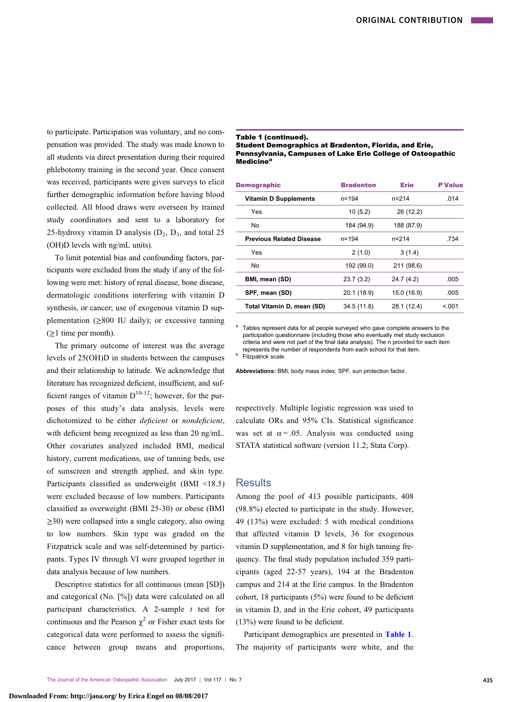to participate. Participation was voluntary, and no compensation was provided. The study was made known to all students via direct presentation during their required phlebotomy training in the second year. Once consent was received, participants were given surveys to elicit further demographic information before having blood collected. All blood draws were overseen by trained study coordinators and sent to a laboratory for 25-hydroxy vitamin D analysis  $(D_2, D_3,$  and total 25 (OH)D levels with ng/mL units).

To limit potential bias and confounding factors, participants were excluded from the study if any of the following were met: history of renal disease, bone disease, dermatologic conditions interfering with vitamin D synthesis, or cancer; use of exogenous vitamin D supplementation  $(≥800$  IU daily); or excessive tanning  $(\geq)$  time per month).

The primary outcome of interest was the average levels of 25(OH)D in students between the campuses and their relationship to latitude. We acknowledge that literature has recognized deficient, insufficient, and sufficient ranges of vitamin  $D^{10-12}$  $D^{10-12}$  $D^{10-12}$ ; however, for the purposes of this study's data analysis, levels were dichotomized to be either *deficient* or *nondeficient*, with deficient being recognized as less than 20 ng/mL. Other covariates analyzed included BMI, medical history, current medications, use of tanning beds, use of sunscreen and strength applied, and skin type. Participants classified as underweight (BMI <18.5) were excluded because of low numbers. Participants classified as overweight (BMI 25-30) or obese (BMI ≥30) were collapsed into a single category, also owing to low numbers. Skin type was graded on the Fitzpatrick scale and was self-determined by participants. Types IV through VI were grouped together in data analysis because of low numbers.

Descriptive statistics for all continuous (mean [SD]) and categorical (No. [%]) data were calculated on all participant characteristics. A 2-sample  $t$  test for continuous and the Pearson  $\chi^2$  $\chi^2$  or Fisher exact tests for categorical data were performed to assess the significance between group means and proportions,

#### Table 1 (continued).

## Student Demographics at Bradenton, Florida, and Erie, Pennsylvania, Campuses of Lake Erie College of Osteopathic Medicine<sup>a</sup>

| <b>Demographic</b>              | <b>Bradenton</b> | <b>Erie</b> | P Value |
|---------------------------------|------------------|-------------|---------|
| <b>Vitamin D Supplements</b>    | $n = 194$        | $n = 214$   | .014    |
| Yes                             | 10(5.2)          | 26 (12.2)   |         |
| No.                             | 184 (94.9)       | 188 (87.9)  |         |
| <b>Previous Related Disease</b> | $n = 194$        | $n = 214$   | .734    |
| Yes                             | 2(1.0)           | 3(1.4)      |         |
| No.                             | 192 (99.0)       | 211 (98.6)  |         |
| BMI, mean (SD)                  | 23.7(3.2)        | 24.7 (4.2)  | .005    |
| SPF, mean (SD)                  | 20.1 (18.9)      | 15.0 (16.9) | .005    |
| Total Vitamin D, mean (SD)      | 34.5 (11.8)      | 28.1 (12.4) | < 0.01  |
|                                 |                  |             |         |

Tables represent data for all people surveyed who gave complete answers to the participation questionnaire (including those who eventually met study exclusion criteria and were not part of the final data analysis). The n provided for each item represents the number of respondents from each school for that item.<br><sup>b</sup> Fitzpatrick scale.

Abbreviations: BMI, body mass index; SPF, sun protection factor.

respectively. Multiple logistic regression was used to calculate ORs and 95% CIs. Statistical significance was set at  $\alpha = .05$ . Analysis was conducted using STATA statistical software (version 11.2; Stata Corp).

# **Results**

Among the pool of 413 possible participants, 408 (98.8%) elected to participate in the study. However, 49 (13%) were excluded: 5 with medical conditions that affected vitamin D levels, 36 for exogenous vitamin D supplementation, and 8 for high tanning frequency. The final study population included 359 participants (aged 22-57 years), 194 at the Bradenton campus and 214 at the Erie campus. In the Bradenton cohort, 18 participants (5%) were found to be deficient in vitamin D, and in the Erie cohort, 49 participants (13%) were found to be deficient.

Participant demographics are presented in [Table 1](#page-1-0). The majority of participants were white, and the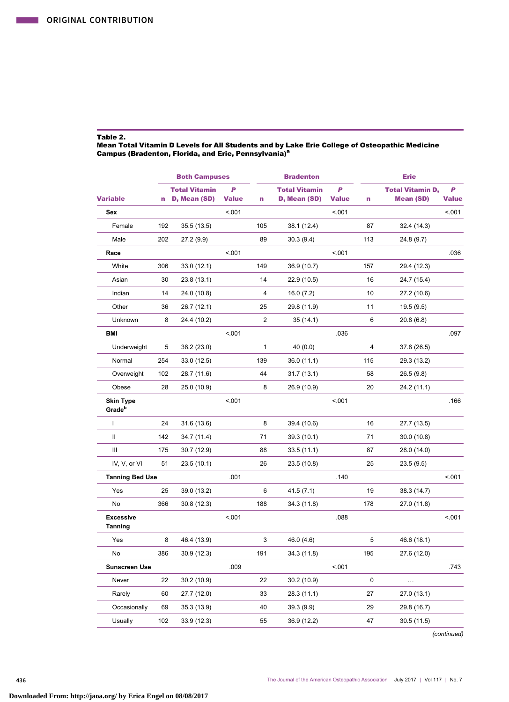<span id="page-3-0"></span> $\mathcal{L}(\mathcal{A})$ 

# Table 2.

# Mean Total Vitamin D Levels for All Students and by Lake Erie College of Osteopathic Medicine<br>Campus (Bradenton, Florida, and Erie, Pennsylvania)<sup>a</sup>

|                                        |     | <b>Both Campuses</b>                 |                   |                | <b>Bradenton</b>                     |                   |     | <b>Erie</b>                                 |                   |
|----------------------------------------|-----|--------------------------------------|-------------------|----------------|--------------------------------------|-------------------|-----|---------------------------------------------|-------------------|
| <b>Variable</b>                        | n   | <b>Total Vitamin</b><br>D, Mean (SD) | P<br><b>Value</b> | n              | <b>Total Vitamin</b><br>D, Mean (SD) | P<br><b>Value</b> | n   | <b>Total Vitamin D,</b><br><b>Mean (SD)</b> | P<br><b>Value</b> |
| Sex                                    |     |                                      | < .001            |                |                                      | < .001            |     |                                             | < 0.001           |
| Female                                 | 192 | 35.5 (13.5)                          |                   | 105            | 38.1 (12.4)                          |                   | 87  | 32.4 (14.3)                                 |                   |
| Male                                   | 202 | 27.2 (9.9)                           |                   | 89             | 30.3(9.4)                            |                   | 113 | 24.8 (9.7)                                  |                   |
| Race                                   |     |                                      | < .001            |                |                                      | < .001            |     |                                             | .036              |
| White                                  | 306 | 33.0 (12.1)                          |                   | 149            | 36.9 (10.7)                          |                   | 157 | 29.4 (12.3)                                 |                   |
| Asian                                  | 30  | 23.8 (13.1)                          |                   | 14             | 22.9 (10.5)                          |                   | 16  | 24.7 (15.4)                                 |                   |
| Indian                                 | 14  | 24.0 (10.8)                          |                   | 4              | 16.0(7.2)                            |                   | 10  | 27.2 (10.6)                                 |                   |
| Other                                  | 36  | 26.7 (12.1)                          |                   | 25             | 29.8 (11.9)                          |                   | 11  | 19.5(9.5)                                   |                   |
| Unknown                                | 8   | 24.4 (10.2)                          |                   | $\overline{2}$ | 35 (14.1)                            |                   | 6   | 20.8(6.8)                                   |                   |
| <b>BMI</b>                             |     |                                      | < .001            |                |                                      | .036              |     |                                             | .097              |
| Underweight                            | 5   | 38.2 (23.0)                          |                   | 1              | 40 (0.0)                             |                   | 4   | 37.8 (26.5)                                 |                   |
| Normal                                 | 254 | 33.0 (12.5)                          |                   | 139            | 36.0 (11.1)                          |                   | 115 | 29.3 (13.2)                                 |                   |
| Overweight                             | 102 | 28.7 (11.6)                          |                   | 44             | 31.7 (13.1)                          |                   | 58  | 26.5 (9.8)                                  |                   |
| Obese                                  | 28  | 25.0 (10.9)                          |                   | 8              | 26.9 (10.9)                          |                   | 20  | 24.2 (11.1)                                 |                   |
| <b>Skin Type</b><br>Grade <sup>b</sup> |     |                                      | < .001            |                |                                      | < .001            |     |                                             | .166              |
| $\mathsf{I}$                           | 24  | 31.6 (13.6)                          |                   | 8              | 39.4 (10.6)                          |                   | 16  | 27.7 (13.5)                                 |                   |
| Ш                                      | 142 | 34.7 (11.4)                          |                   | 71             | 39.3 (10.1)                          |                   | 71  | 30.0(10.8)                                  |                   |
| Ш                                      | 175 | 30.7 (12.9)                          |                   | 88             | 33.5(11.1)                           |                   | 87  | 28.0 (14.0)                                 |                   |
| IV, V, or VI                           | 51  | 23.5 (10.1)                          |                   | 26             | 23.5 (10.8)                          |                   | 25  | 23.5(9.5)                                   |                   |
| <b>Tanning Bed Use</b>                 |     |                                      | .001              |                |                                      | .140              |     |                                             | < 0.001           |
| Yes                                    | 25  | 39.0 (13.2)                          |                   | 6              | 41.5 (7.1)                           |                   | 19  | 38.3 (14.7)                                 |                   |
| No                                     | 366 | 30.8(12.3)                           |                   | 188            | 34.3 (11.8)                          |                   | 178 | 27.0 (11.8)                                 |                   |
| <b>Excessive</b><br><b>Tanning</b>     |     |                                      | < .001            |                |                                      | .088              |     |                                             | < 0.01            |
| Yes                                    | 8   | 46.4 (13.9)                          |                   | 3              | 46.0 (4.6)                           |                   | 5   | 46.6 (18.1)                                 |                   |
| No                                     | 386 | 30.9 (12.3)                          |                   | 191            | 34.3 (11.8)                          |                   | 195 | 27.6 (12.0)                                 |                   |
| <b>Sunscreen Use</b>                   |     |                                      | .009              |                |                                      | < .001            |     |                                             | .743              |
| Never                                  | 22  | 30.2 (10.9)                          |                   | 22             | 30.2 (10.9)                          |                   | 0   |                                             |                   |
| Rarely                                 | 60  | 27.7 (12.0)                          |                   | 33             | 28.3 (11.1)                          |                   | 27  | 27.0 (13.1)                                 |                   |
| Occasionally                           | 69  | 35.3 (13.9)                          |                   | 40             | 39.3(9.9)                            |                   | 29  | 29.8 (16.7)                                 |                   |
| Usually                                | 102 | 33.9 (12.3)                          |                   | 55             | 36.9 (12.2)                          |                   | 47  | 30.5 (11.5)                                 |                   |
|                                        |     |                                      |                   |                |                                      |                   |     |                                             |                   |

(continued)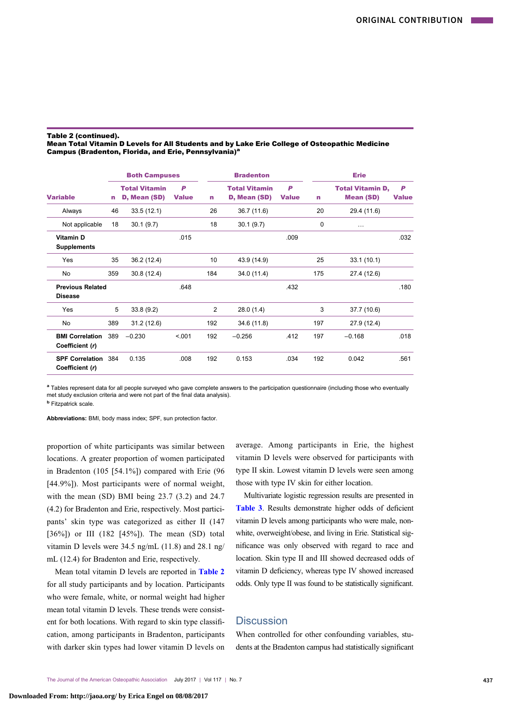#### Table 2 (continued).

## Mean Total Vitamin D Levels for All Students and by Lake Erie College of Osteopathic Medicine Campus (Bradenton, Florida, and Erie, Pennsylvania)<sup>a</sup>

|                                           | <b>Both Campuses</b> |                                      |                   | <b>Bradenton</b> |                                      |                   | <b>Erie</b> |                                             |                   |
|-------------------------------------------|----------------------|--------------------------------------|-------------------|------------------|--------------------------------------|-------------------|-------------|---------------------------------------------|-------------------|
| <b>Variable</b>                           | n                    | <b>Total Vitamin</b><br>D, Mean (SD) | P<br><b>Value</b> | n                | <b>Total Vitamin</b><br>D, Mean (SD) | P<br><b>Value</b> | n           | <b>Total Vitamin D,</b><br><b>Mean (SD)</b> | P<br><b>Value</b> |
| Always                                    | 46                   | 33.5(12.1)                           |                   | 26               | 36.7 (11.6)                          |                   | 20          | 29.4 (11.6)                                 |                   |
| Not applicable                            | 18                   | 30.1(9.7)                            |                   | 18               | 30.1(9.7)                            |                   | $\Omega$    | $\cdots$                                    |                   |
| Vitamin D<br><b>Supplements</b>           |                      |                                      | .015              |                  |                                      | .009              |             |                                             | .032              |
| Yes                                       | 35                   | 36.2 (12.4)                          |                   | 10               | 43.9 (14.9)                          |                   | 25          | 33.1(10.1)                                  |                   |
| No                                        | 359                  | 30.8(12.4)                           |                   | 184              | 34.0 (11.4)                          |                   | 175         | 27.4 (12.6)                                 |                   |
| <b>Previous Related</b><br><b>Disease</b> |                      |                                      | .648              |                  |                                      | .432              |             |                                             | .180              |
| Yes                                       | 5                    | 33.8(9.2)                            |                   | 2                | 28.0(1.4)                            |                   | 3           | 37.7 (10.6)                                 |                   |
| No                                        | 389                  | 31.2 (12.6)                          |                   | 192              | 34.6 (11.8)                          |                   | 197         | 27.9 (12.4)                                 |                   |
| <b>BMI Correlation</b><br>Coefficient (r) | 389                  | $-0.230$                             | < .001            | 192              | $-0.256$                             | .412              | 197         | $-0.168$                                    | .018              |
| <b>SPF Correlation</b><br>Coefficient (r) | 384                  | 0.135                                | .008              | 192              | 0.153                                | .034              | 192         | 0.042                                       | .561              |

a Tables represent data for all people surveyed who gave complete answers to the participation questionnaire (including those who eventually met study exclusion criteria and were not part of the final data analysis).

**b** Fitzpatrick scale.

Abbreviations: BMI, body mass index; SPF, sun protection factor.

proportion of white participants was similar between locations. A greater proportion of women participated in Bradenton (105 [54.1%]) compared with Erie (96 [44.9%]). Most participants were of normal weight, with the mean (SD) BMI being 23.7 (3.2) and 24.7 (4.2) for Bradenton and Erie, respectively. Most participants' skin type was categorized as either II (147 [36%]) or III (182 [45%]). The mean (SD) total vitamin D levels were 34.5 ng/mL (11.8) and 28.1 ng/ mL (12.4) for Bradenton and Erie, respectively.

Mean total vitamin D levels are reported in [Table 2](#page-3-0) for all study participants and by location. Participants who were female, white, or normal weight had higher mean total vitamin D levels. These trends were consistent for both locations. With regard to skin type classification, among participants in Bradenton, participants with darker skin types had lower vitamin D levels on average. Among participants in Erie, the highest vitamin D levels were observed for participants with type II skin. Lowest vitamin D levels were seen among those with type IV skin for either location.

Multivariate logistic regression results are presented in [Table 3](#page-5-0). Results demonstrate higher odds of deficient vitamin D levels among participants who were male, nonwhite, overweight/obese, and living in Erie. Statistical significance was only observed with regard to race and location. Skin type II and III showed decreased odds of vitamin D deficiency, whereas type IV showed increased odds. Only type II was found to be statistically significant.

# **Discussion**

When controlled for other confounding variables, students at the Bradenton campus had statistically significant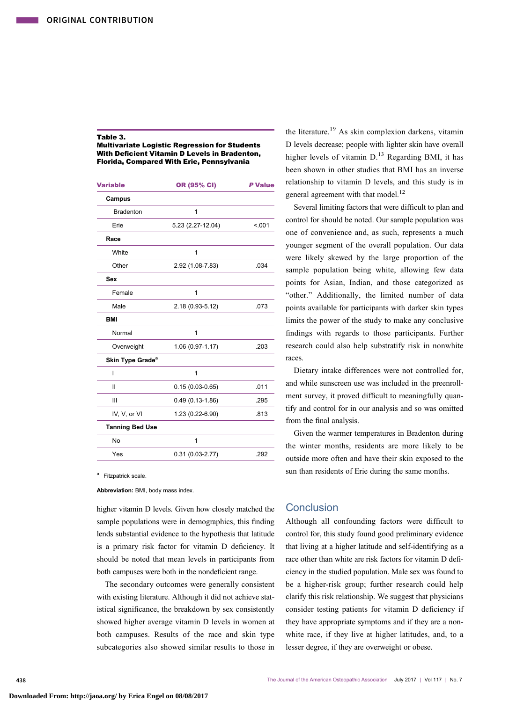#### <span id="page-5-0"></span>Table 3.

Multivariate Logistic Regression for Students With Deficient Vitamin D Levels in Bradenton, Florida, Compared With Erie, Pennsylvania

| <b>Variable</b>              | OR (95% CI)         | <b>P</b> Value |
|------------------------------|---------------------|----------------|
| Campus                       |                     |                |
| <b>Bradenton</b>             | 1                   |                |
| Erie                         | 5.23 (2.27-12.04)   | < .001         |
| Race                         |                     |                |
| White                        | 1                   |                |
| Other                        | 2.92 (1.08-7.83)    | .034           |
| Sex                          |                     |                |
| Female                       | 1                   |                |
| Male                         | 2.18 (0.93-5.12)    | .073           |
| <b>BMI</b>                   |                     |                |
| Normal                       | 1                   |                |
| Overweight                   | 1.06 (0.97-1.17)    | .203           |
| Skin Type Grade <sup>a</sup> |                     |                |
| ı                            | 1                   |                |
| $\mathbf{I}$                 | $0.15(0.03 - 0.65)$ | .011           |
| Ш                            | $0.49(0.13 - 1.86)$ | .295           |
| IV, V, or VI                 | 1.23 (0.22-6.90)    | .813           |
| <b>Tanning Bed Use</b>       |                     |                |
| <b>No</b>                    | 1                   |                |
| Yes                          | $0.31(0.03 - 2.77)$ | .292           |
|                              |                     |                |

<sup>a</sup> Fitzpatrick scale

Abbreviation: BMI, body mass index.

higher vitamin D levels. Given how closely matched the sample populations were in demographics, this finding lends substantial evidence to the hypothesis that latitude is a primary risk factor for vitamin D deficiency. It should be noted that mean levels in participants from both campuses were both in the nondeficient range.

The secondary outcomes were generally consistent with existing literature. Although it did not achieve statistical significance, the breakdown by sex consistently showed higher average vitamin D levels in women at both campuses. Results of the race and skin type subcategories also showed similar results to those in

the literature.<sup>[19](#page-6-0)</sup> As skin complexion darkens, vitamin D levels decrease; people with lighter skin have overall higher levels of vitamin  $D<sup>13</sup>$  $D<sup>13</sup>$  $D<sup>13</sup>$  Regarding BMI, it has been shown in other studies that BMI has an inverse relationship to vitamin D levels, and this study is in general agreement with that model.<sup>[12](#page-6-0)</sup>

Several limiting factors that were difficult to plan and control for should be noted. Our sample population was one of convenience and, as such, represents a much younger segment of the overall population. Our data were likely skewed by the large proportion of the sample population being white, allowing few data points for Asian, Indian, and those categorized as "other." Additionally, the limited number of data points available for participants with darker skin types limits the power of the study to make any conclusive findings with regards to those participants. Further research could also help substratify risk in nonwhite races.

Dietary intake differences were not controlled for, and while sunscreen use was included in the preenrollment survey, it proved difficult to meaningfully quantify and control for in our analysis and so was omitted from the final analysis.

Given the warmer temperatures in Bradenton during the winter months, residents are more likely to be outside more often and have their skin exposed to the sun than residents of Erie during the same months.

# **Conclusion**

Although all confounding factors were difficult to control for, this study found good preliminary evidence that living at a higher latitude and self-identifying as a race other than white are risk factors for vitamin D deficiency in the studied population. Male sex was found to be a higher-risk group; further research could help clarify this risk relationship. We suggest that physicians consider testing patients for vitamin D deficiency if they have appropriate symptoms and if they are a nonwhite race, if they live at higher latitudes, and, to a lesser degree, if they are overweight or obese.